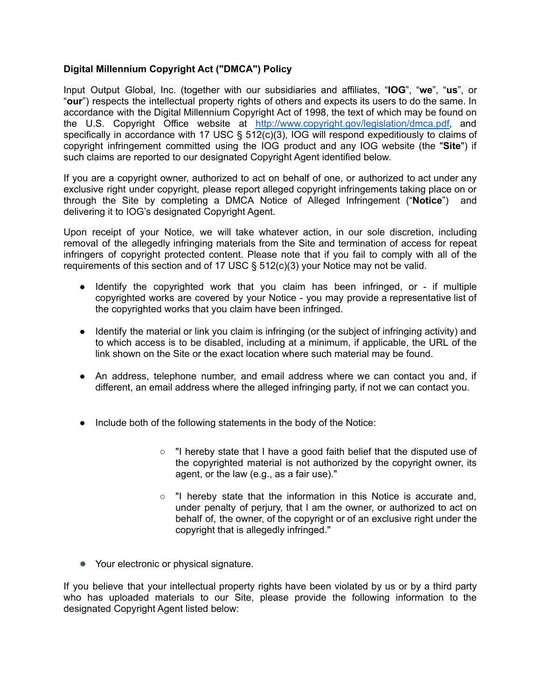## **Digital Millennium Copyright Act ("DMCA") Policy**

Input Output Global, Inc. (together with our subsidiaries and affiliates, "**IOG**", "**we**", "**us**", or "**our**") respects the intellectual property rights of others and expects its users to do the same. In accordance with the Digital Millennium Copyright Act of 1998, the text of which may be found on the U.S. Copyright Office website at [http://www.copyright.gov/legislation/dmca.pdf,](http://www.copyright.gov/legislation/dmca.pdf) and specifically in accordance with 17 USC § 512(c)(3), IOG will respond expeditiously to claims of copyright infringement committed using the IOG product and any IOG website (the "**Site**") if such claims are reported to our designated Copyright Agent identified below.

If you are a copyright owner, authorized to act on behalf of one, or authorized to act under any exclusive right under copyright, please report alleged copyright infringements taking place on or through the Site by completing a DMCA Notice of Alleged Infringement ("**Notice**") and delivering it to IOG's designated Copyright Agent.

Upon receipt of your Notice, we will take whatever action, in our sole discretion, including removal of the allegedly infringing materials from the Site and termination of access for repeat infringers of copyright protected content. Please note that if you fail to comply with all of the requirements of this section and of 17 USC § 512(c)(3) your Notice may not be valid.

- Identify the copyrighted work that you claim has been infringed, or if multiple copyrighted works are covered by your Notice - you may provide a representative list of the copyrighted works that you claim have been infringed.
- Identify the material or link you claim is infringing (or the subject of infringing activity) and to which access is to be disabled, including at a minimum, if applicable, the URL of the link shown on the Site or the exact location where such material may be found.
- An address, telephone number, and email address where we can contact you and, if different, an email address where the alleged infringing party, if not we can contact you.
- Include both of the following statements in the body of the Notice:
	- "I hereby state that I have a good faith belief that the disputed use of the copyrighted material is not authorized by the copyright owner, its agent, or the law (e.g., as a fair use)."
	- $\circ$  "I hereby state that the information in this Notice is accurate and, under penalty of perjury, that I am the owner, or authorized to act on behalf of, the owner, of the copyright or of an exclusive right under the copyright that is allegedly infringed."
- Your electronic or physical signature.

If you believe that your intellectual property rights have been violated by us or by a third party who has uploaded materials to our Site, please provide the following information to the designated Copyright Agent listed below: